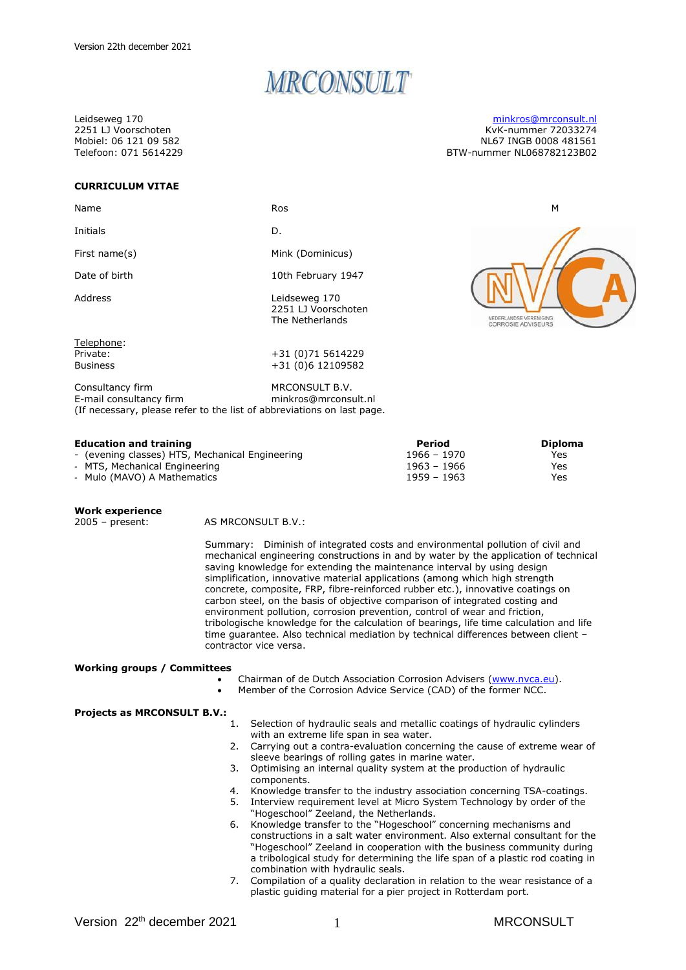# MRCONSULT

Leidseweg 170 2251 LJ Voorschoten Mobiel: 06 121 09 582 Telefoon: 071 5614229

# **CURRICULUM VITAE**

| Name                                                                                                                  | <b>Ros</b>                                              | M                                           |
|-----------------------------------------------------------------------------------------------------------------------|---------------------------------------------------------|---------------------------------------------|
| Initials                                                                                                              | D.                                                      |                                             |
| First name(s)                                                                                                         | Mink (Dominicus)                                        |                                             |
| Date of birth                                                                                                         | 10th February 1947                                      |                                             |
| Address                                                                                                               | Leidseweg 170<br>2251 LJ Voorschoten<br>The Netherlands | EDERLANDSE VERENIGING<br>CORROSIE ADVISEURS |
| Telephone:<br>Private:                                                                                                | +31 (0)71 5614229                                       |                                             |
| <b>Business</b>                                                                                                       | +31 (0)6 12109582                                       |                                             |
| Consultancy firm<br>E-mail consultancy firm<br>(If necessary, please refer to the list of abbreviations on last page. | MRCONSULT B.V.<br>minkros@mrconsult.nl                  |                                             |

#### **Education and training Period Diploma**

| Luucation and training                          | <b>1999</b>   | PIPIUIIIG |
|-------------------------------------------------|---------------|-----------|
| - (evening classes) HTS, Mechanical Engineering | $1966 - 1970$ | Yes       |
| - MTS, Mechanical Engineering                   | 1963 – 1966   | Yes       |
| - Mulo (MAVO) A Mathematics                     | $1959 - 1963$ | Yes       |

# Work experience<br>2005 - present:

AS MRCONSULT B.V.:

Summary: Diminish of integrated costs and environmental pollution of civil and mechanical engineering constructions in and by water by the application of technical saving knowledge for extending the maintenance interval by using design simplification, innovative material applications (among which high strength concrete, composite, FRP, fibre-reinforced rubber etc.), innovative coatings on carbon steel, on the basis of objective comparison of integrated costing and environment pollution, corrosion prevention, control of wear and friction, tribologische knowledge for the calculation of bearings, life time calculation and life time guarantee. Also technical mediation by technical differences between client – contractor vice versa.

#### **Working groups / Committees**

- Chairman of de Dutch Association Corrosion Advisers [\(www.nvca.eu\)](http://www.nvca.eu/).
- Member of the Corrosion Advice Service (CAD) of the former NCC.

#### **Projects as MRCONSULT B.V.:**

- 1. Selection of hydraulic seals and metallic coatings of hydraulic cylinders with an extreme life span in sea water.
- 2. Carrying out a contra-evaluation concerning the cause of extreme wear of sleeve bearings of rolling gates in marine water.
- 3. Optimising an internal quality system at the production of hydraulic components.
- 4. Knowledge transfer to the industry association concerning TSA-coatings.
- 5. Interview requirement level at Micro System Technology by order of the "Hogeschool" Zeeland, the Netherlands.
- 6. Knowledge transfer to the "Hogeschool" concerning mechanisms and constructions in a salt water environment. Also external consultant for the "Hogeschool" Zeeland in cooperation with the business community during a tribological study for determining the life span of a plastic rod coating in combination with hydraulic seals.
- 7. Compilation of a quality declaration in relation to the wear resistance of a plastic guiding material for a pier project in Rotterdam port.

[minkros@mrconsult.nl](mailto:minkros@mrconsult.nl) KvK-nummer 72033274 NL67 INGB 0008 481561 BTW-nummer NL068782123B02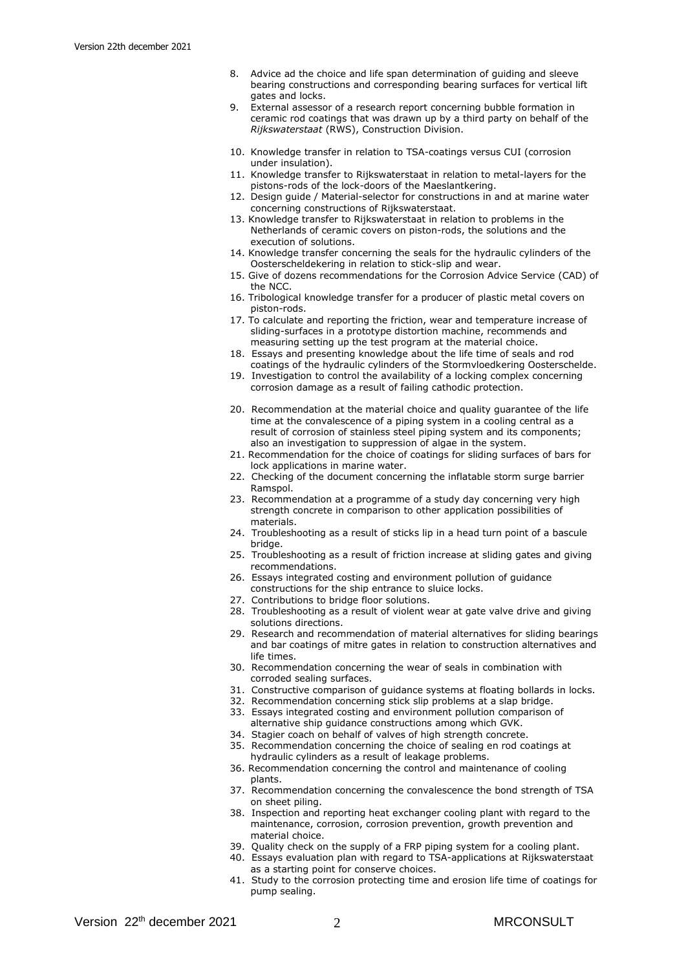- 8. Advice ad the choice and life span determination of guiding and sleeve bearing constructions and corresponding bearing surfaces for vertical lift gates and locks.
- 9. External assessor of a research report concerning bubble formation in ceramic rod coatings that was drawn up by a third party on behalf of the *Rijkswaterstaat* (RWS), Construction Division.
- 10. Knowledge transfer in relation to TSA-coatings versus CUI (corrosion under insulation).
- 11. Knowledge transfer to Rijkswaterstaat in relation to metal-layers for the pistons-rods of the lock-doors of the Maeslantkering.
- 12. Design guide / Material-selector for constructions in and at marine water concerning constructions of Rijkswaterstaat.
- 13. Knowledge transfer to Rijkswaterstaat in relation to problems in the Netherlands of ceramic covers on piston-rods, the solutions and the execution of solutions.
- 14. Knowledge transfer concerning the seals for the hydraulic cylinders of the Oosterscheldekering in relation to stick-slip and wear.
- 15. Give of dozens recommendations for the Corrosion Advice Service (CAD) of the NCC.
- 16. Tribological knowledge transfer for a producer of plastic metal covers on piston-rods.
- 17. To calculate and reporting the friction, wear and temperature increase of sliding-surfaces in a prototype distortion machine, recommends and measuring setting up the test program at the material choice.
- 18. Essays and presenting knowledge about the life time of seals and rod coatings of the hydraulic cylinders of the Stormvloedkering Oosterschelde.
- 19. Investigation to control the availability of a locking complex concerning corrosion damage as a result of failing cathodic protection.
- 20. Recommendation at the material choice and quality guarantee of the life time at the convalescence of a piping system in a cooling central as a result of corrosion of stainless steel piping system and its components; also an investigation to suppression of algae in the system.
- 21. Recommendation for the choice of coatings for sliding surfaces of bars for lock applications in marine water.
- 22. Checking of the document concerning the inflatable storm surge barrier Ramspol.
- 23. Recommendation at a programme of a study day concerning very high strength concrete in comparison to other application possibilities of materials.
- 24. Troubleshooting as a result of sticks lip in a head turn point of a bascule bridge.
- 25. Troubleshooting as a result of friction increase at sliding gates and giving recommendations.
- 26. Essays integrated costing and environment pollution of guidance constructions for the ship entrance to sluice locks.
- 27. Contributions to bridge floor solutions.
- 28. Troubleshooting as a result of violent wear at gate valve drive and giving solutions directions.
- 29. Research and recommendation of material alternatives for sliding bearings and bar coatings of mitre gates in relation to construction alternatives and life times.
- 30. Recommendation concerning the wear of seals in combination with corroded sealing surfaces.
- 31. Constructive comparison of guidance systems at floating bollards in locks.
- 32. Recommendation concerning stick slip problems at a slap bridge.
- 33. Essays integrated costing and environment pollution comparison of alternative ship guidance constructions among which GVK.
- 34. Stagier coach on behalf of valves of high strength concrete.
- 35. Recommendation concerning the choice of sealing en rod coatings at hydraulic cylinders as a result of leakage problems.
- 36. Recommendation concerning the control and maintenance of cooling plants.
- 37. Recommendation concerning the convalescence the bond strength of TSA on sheet piling.
- 38. Inspection and reporting heat exchanger cooling plant with regard to the maintenance, corrosion, corrosion prevention, growth prevention and material choice.
- 39. Quality check on the supply of a FRP piping system for a cooling plant.
- 40. Essays evaluation plan with regard to TSA-applications at Rijkswaterstaat as a starting point for conserve choices.
- 41. Study to the corrosion protecting time and erosion life time of coatings for pump sealing.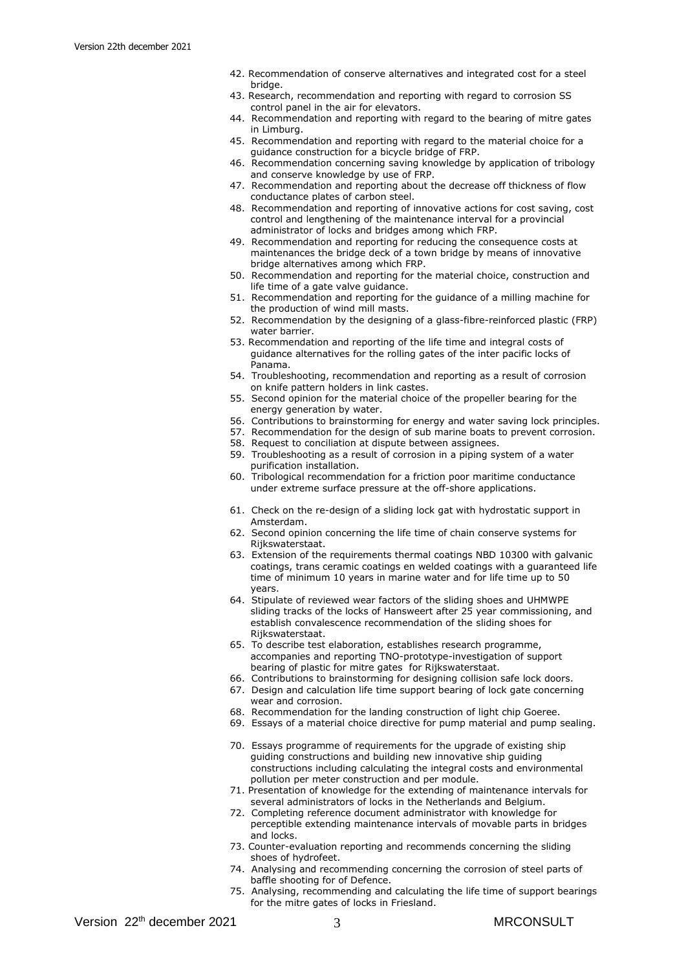- 42. Recommendation of conserve alternatives and integrated cost for a steel bridge.
- 43. Research, recommendation and reporting with regard to corrosion SS control panel in the air for elevators.
- 44. Recommendation and reporting with regard to the bearing of mitre gates in Limburg.
- 45. Recommendation and reporting with regard to the material choice for a guidance construction for a bicycle bridge of FRP.
- 46. Recommendation concerning saving knowledge by application of tribology and conserve knowledge by use of FRP.
- 47. Recommendation and reporting about the decrease off thickness of flow conductance plates of carbon steel.
- 48. Recommendation and reporting of innovative actions for cost saving, cost control and lengthening of the maintenance interval for a provincial administrator of locks and bridges among which FRP.
- 49. Recommendation and reporting for reducing the consequence costs at maintenances the bridge deck of a town bridge by means of innovative bridge alternatives among which FRP.
- 50. Recommendation and reporting for the material choice, construction and life time of a gate valve guidance.
- 51. Recommendation and reporting for the guidance of a milling machine for the production of wind mill masts.
- 52. Recommendation by the designing of a glass-fibre-reinforced plastic (FRP) water barrier.
- 53. Recommendation and reporting of the life time and integral costs of guidance alternatives for the rolling gates of the inter pacific locks of Panama.
- 54. Troubleshooting, recommendation and reporting as a result of corrosion on knife pattern holders in link castes.
- 55. Second opinion for the material choice of the propeller bearing for the energy generation by water.
- 56. Contributions to brainstorming for energy and water saving lock principles.
- 57. Recommendation for the design of sub marine boats to prevent corrosion.
- 58. Request to conciliation at dispute between assignees.
- 59. Troubleshooting as a result of corrosion in a piping system of a water purification installation.
- 60. Tribological recommendation for a friction poor maritime conductance under extreme surface pressure at the off-shore applications.
- 61. Check on the re-design of a sliding lock gat with hydrostatic support in Amsterdam.
- 62. Second opinion concerning the life time of chain conserve systems for Rijkswaterstaat.
- 63. Extension of the requirements thermal coatings NBD 10300 with galvanic coatings, trans ceramic coatings en welded coatings with a guaranteed life time of minimum 10 years in marine water and for life time up to 50 years.
- 64. Stipulate of reviewed wear factors of the sliding shoes and UHMWPE sliding tracks of the locks of Hansweert after 25 year commissioning, and establish convalescence recommendation of the sliding shoes for Rijkswaterstaat.
- 65. To describe test elaboration, establishes research programme, accompanies and reporting TNO-prototype-investigation of support bearing of plastic for mitre gates for Rijkswaterstaat.
- 66. Contributions to brainstorming for designing collision safe lock doors.
- 67. Design and calculation life time support bearing of lock gate concerning wear and corrosion.
- 68. Recommendation for the landing construction of light chip Goeree.
- 69. Essays of a material choice directive for pump material and pump sealing.
- 70. Essays programme of requirements for the upgrade of existing ship guiding constructions and building new innovative ship guiding constructions including calculating the integral costs and environmental pollution per meter construction and per module.
- 71. Presentation of knowledge for the extending of maintenance intervals for several administrators of locks in the Netherlands and Belgium.
- 72. Completing reference document administrator with knowledge for perceptible extending maintenance intervals of movable parts in bridges and locks.
- 73. Counter-evaluation reporting and recommends concerning the sliding shoes of hydrofeet.
- 74. Analysing and recommending concerning the corrosion of steel parts of baffle shooting for of Defence.
- 75. Analysing, recommending and calculating the life time of support bearings for the mitre gates of locks in Friesland.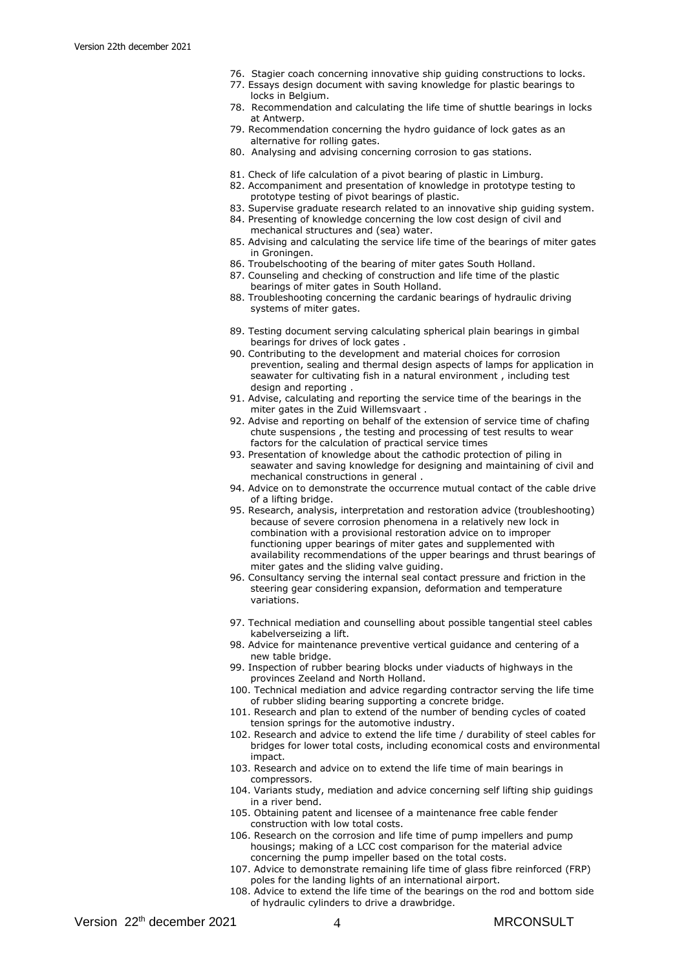- 76. Stagier coach concerning innovative ship guiding constructions to locks.
- 77. Essays design document with saving knowledge for plastic bearings to locks in Belgium.
- 78. Recommendation and calculating the life time of shuttle bearings in locks at Antwerp.
- 79. Recommendation concerning the hydro guidance of lock gates as an alternative for rolling gates.
- 80. Analysing and advising concerning corrosion to gas stations.
- 81. Check of life calculation of a pivot bearing of plastic in Limburg.
- 82. Accompaniment and presentation of knowledge in prototype testing to prototype testing of pivot bearings of plastic.
- 83. Supervise graduate research related to an innovative ship guiding system.
- 84. Presenting of knowledge concerning the low cost design of civil and mechanical structures and (sea) water.
- 85. Advising and calculating the service life time of the bearings of miter gates in Groningen.
- 86. Troubelschooting of the bearing of miter gates South Holland.
- 87. Counseling and checking of construction and life time of the plastic bearings of miter gates in South Holland.
- 88. Troubleshooting concerning the cardanic bearings of hydraulic driving systems of miter gates.
- 89. Testing document serving calculating spherical plain bearings in gimbal bearings for drives of lock gates .
- 90. Contributing to the development and material choices for corrosion prevention, sealing and thermal design aspects of lamps for application in seawater for cultivating fish in a natural environment , including test design and reporting .
- 91. Advise, calculating and reporting the service time of the bearings in the miter gates in the Zuid Willemsvaart .
- 92. Advise and reporting on behalf of the extension of service time of chafing chute suspensions , the testing and processing of test results to wear factors for the calculation of practical service times
- 93. Presentation of knowledge about the cathodic protection of piling in seawater and saving knowledge for designing and maintaining of civil and mechanical constructions in general .
- 94. Advice on to demonstrate the occurrence mutual contact of the cable drive of a lifting bridge.
- 95. Research, analysis, interpretation and restoration advice (troubleshooting) because of severe corrosion phenomena in a relatively new lock in combination with a provisional restoration advice on to improper functioning upper bearings of miter gates and supplemented with availability recommendations of the upper bearings and thrust bearings of miter gates and the sliding valve guiding.
- 96. Consultancy serving the internal seal contact pressure and friction in the steering gear considering expansion, deformation and temperature variations.
- 97. Technical mediation and counselling about possible tangential steel cables kabelverseizing a lift.
- 98. Advice for maintenance preventive vertical guidance and centering of a new table bridge.
- 99. Inspection of rubber bearing blocks under viaducts of highways in the provinces Zeeland and North Holland.
- 100. Technical mediation and advice regarding contractor serving the life time of rubber sliding bearing supporting a concrete bridge.
- 101. Research and plan to extend of the number of bending cycles of coated tension springs for the automotive industry.
- 102. Research and advice to extend the life time / durability of steel cables for bridges for lower total costs, including economical costs and environmental impact.
- 103. Research and advice on to extend the life time of main bearings in compressors.
- 104. Variants study, mediation and advice concerning self lifting ship guidings in a river bend.
- 105. Obtaining patent and licensee of a maintenance free cable fender construction with low total costs.
- 106. Research on the corrosion and life time of pump impellers and pump housings; making of a LCC cost comparison for the material advice concerning the pump impeller based on the total costs.
- 107. Advice to demonstrate remaining life time of glass fibre reinforced (FRP) poles for the landing lights of an international airport.
- 108. Advice to extend the life time of the bearings on the rod and bottom side of hydraulic cylinders to drive a drawbridge.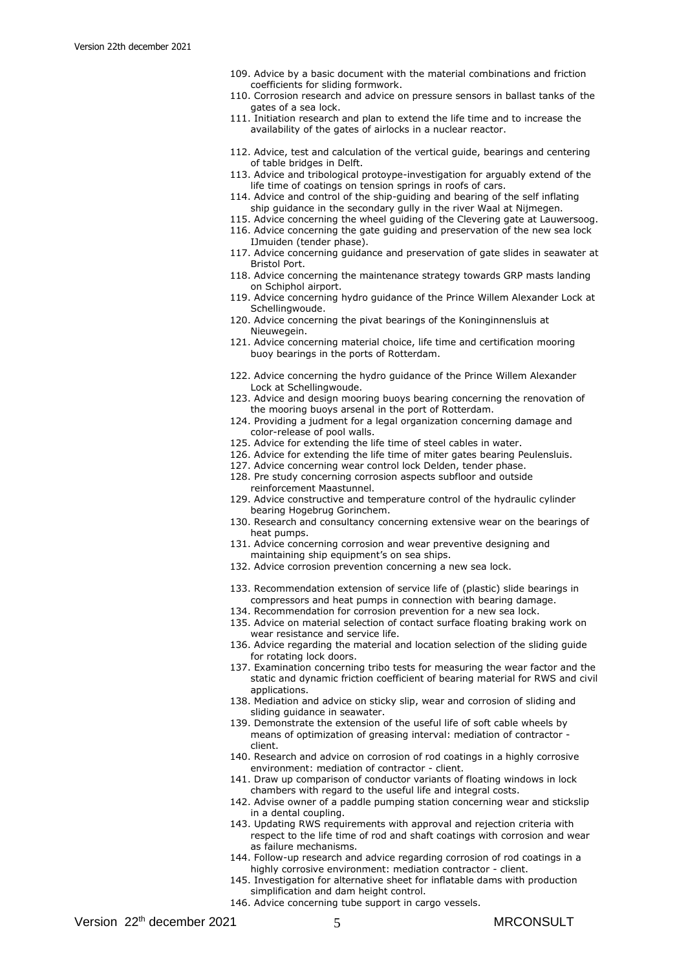- 109. Advice by a basic document with the material combinations and friction coefficients for sliding formwork.
- 110. Corrosion research and advice on pressure sensors in ballast tanks of the gates of a sea lock.
- 111. Initiation research and plan to extend the life time and to increase the availability of the gates of airlocks in a nuclear reactor.
- 112. Advice, test and calculation of the vertical guide, bearings and centering of table bridges in Delft.
- 113. Advice and tribological protoype-investigation for arguably extend of the life time of coatings on tension springs in roofs of cars.
- 114. Advice and control of the ship-guiding and bearing of the self inflating ship guidance in the secondary gully in the river Waal at Nijmegen.
- 115. Advice concerning the wheel guiding of the Clevering gate at Lauwersoog.
- 116. Advice concerning the gate guiding and preservation of the new sea lock
- IJmuiden (tender phase). 117. Advice concerning guidance and preservation of gate slides in seawater at Bristol Port.
- 118. Advice concerning the maintenance strategy towards GRP masts landing on Schiphol airport.
- 119. Advice concerning hydro guidance of the Prince Willem Alexander Lock at Schellingwoude.
- 120. Advice concerning the pivat bearings of the Koninginnensluis at Nieuwegein.
- 121. Advice concerning material choice, life time and certification mooring buoy bearings in the ports of Rotterdam.
- 122. Advice concerning the hydro guidance of the Prince Willem Alexander Lock at Schellingwoude.
- 123. Advice and design mooring buoys bearing concerning the renovation of the mooring buoys arsenal in the port of Rotterdam.
- 124. Providing a judment for a legal organization concerning damage and color-release of pool walls.
- 125. Advice for extending the life time of steel cables in water.
- 126. Advice for extending the life time of miter gates bearing Peulensluis.
- 127. Advice concerning wear control lock Delden, tender phase.
- 128. Pre study concerning corrosion aspects subfloor and outside reinforcement Maastunnel.
- 129. Advice constructive and temperature control of the hydraulic cylinder bearing Hogebrug Gorinchem.
- 130. Research and consultancy concerning extensive wear on the bearings of heat pumps.
- 131. Advice concerning corrosion and wear preventive designing and maintaining ship equipment's on sea ships.
- 132. Advice corrosion prevention concerning a new sea lock.
- 133. Recommendation extension of service life of (plastic) slide bearings in compressors and heat pumps in connection with bearing damage.
- 134. Recommendation for corrosion prevention for a new sea lock.
- 135. Advice on material selection of contact surface floating braking work on wear resistance and service life.
- 136. Advice regarding the material and location selection of the sliding guide for rotating lock doors.
- 137. Examination concerning tribo tests for measuring the wear factor and the static and dynamic friction coefficient of bearing material for RWS and civil applications.
- 138. Mediation and advice on sticky slip, wear and corrosion of sliding and sliding guidance in seawater.
- 139. Demonstrate the extension of the useful life of soft cable wheels by means of optimization of greasing interval: mediation of contractor client.
- 140. Research and advice on corrosion of rod coatings in a highly corrosive environment: mediation of contractor - client.
- 141. Draw up comparison of conductor variants of floating windows in lock chambers with regard to the useful life and integral costs.
- 142. Advise owner of a paddle pumping station concerning wear and stickslip in a dental coupling.
- 143. Updating RWS requirements with approval and rejection criteria with respect to the life time of rod and shaft coatings with corrosion and wear as failure mechanisms.
- 144. Follow-up research and advice regarding corrosion of rod coatings in a highly corrosive environment: mediation contractor - client.
- 145. Investigation for alternative sheet for inflatable dams with production simplification and dam height control.
- 146. Advice concerning tube support in cargo vessels.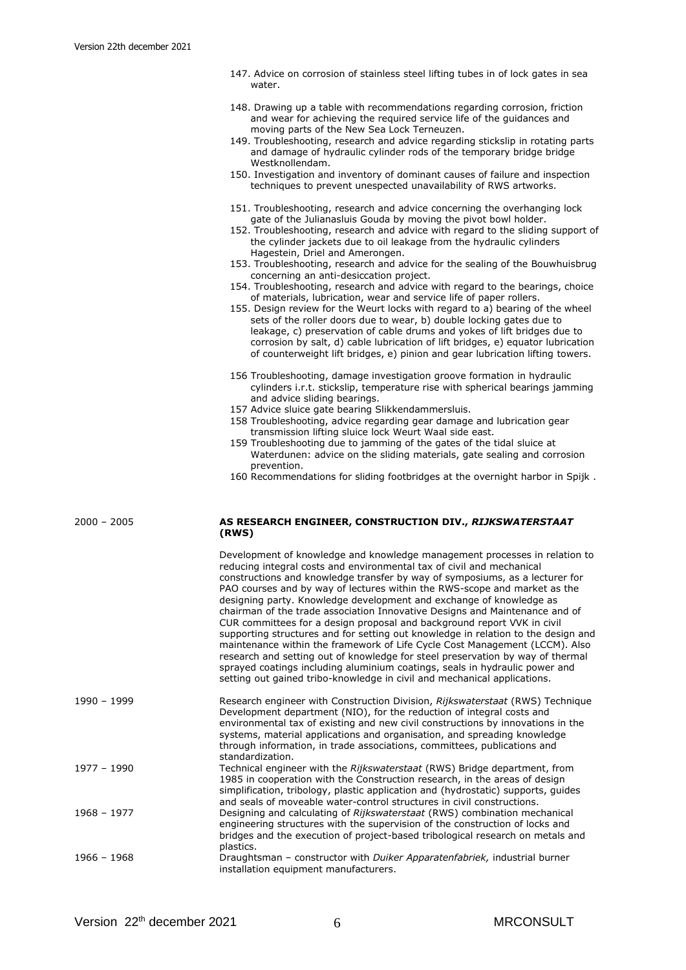|        |  | 147. Advice on corrosion of stainless steel lifting tubes in of lock gates in sea |  |  |  |  |  |
|--------|--|-----------------------------------------------------------------------------------|--|--|--|--|--|
| water. |  |                                                                                   |  |  |  |  |  |

- 148. Drawing up a table with recommendations regarding corrosion, friction and wear for achieving the required service life of the guidances and moving parts of the New Sea Lock Terneuzen.
- 149. Troubleshooting, research and advice regarding stickslip in rotating parts and damage of hydraulic cylinder rods of the temporary bridge bridge Westknollendam.
- 150. Investigation and inventory of dominant causes of failure and inspection techniques to prevent unespected unavailability of RWS artworks.
- 151. Troubleshooting, research and advice concerning the overhanging lock gate of the Julianasluis Gouda by moving the pivot bowl holder.
- 152. Troubleshooting, research and advice with regard to the sliding support of the cylinder jackets due to oil leakage from the hydraulic cylinders Hagestein, Driel and Amerongen.
- 153. Troubleshooting, research and advice for the sealing of the Bouwhuisbrug concerning an anti-desiccation project.
- 154. Troubleshooting, research and advice with regard to the bearings, choice of materials, lubrication, wear and service life of paper rollers.
- 155. Design review for the Weurt locks with regard to a) bearing of the wheel sets of the roller doors due to wear, b) double locking gates due to leakage, c) preservation of cable drums and yokes of lift bridges due to corrosion by salt, d) cable lubrication of lift bridges, e) equator lubrication of counterweight lift bridges, e) pinion and gear lubrication lifting towers.
- 156 Troubleshooting, damage investigation groove formation in hydraulic cylinders i.r.t. stickslip, temperature rise with spherical bearings jamming and advice sliding bearings.
- 157 Advice sluice gate bearing Slikkendammersluis.
- 158 Troubleshooting, advice regarding gear damage and lubrication gear transmission lifting sluice lock Weurt Waal side east.
- 159 Troubleshooting due to jamming of the gates of the tidal sluice at Waterdunen: advice on the sliding materials, gate sealing and corrosion prevention.
- 160 Recommendations for sliding footbridges at the overnight harbor in Spijk .

# 2000 – 2005 **AS RESEARCH ENGINEER, CONSTRUCTION DIV.,** *RIJKSWATERSTAAT* **(RWS)**

|             | Development of knowledge and knowledge management processes in relation to<br>reducing integral costs and environmental tax of civil and mechanical<br>constructions and knowledge transfer by way of symposiums, as a lecturer for<br>PAO courses and by way of lectures within the RWS-scope and market as the<br>designing party. Knowledge development and exchange of knowledge as<br>chairman of the trade association Innovative Designs and Maintenance and of<br>CUR committees for a design proposal and background report VVK in civil<br>supporting structures and for setting out knowledge in relation to the design and<br>maintenance within the framework of Life Cycle Cost Management (LCCM). Also<br>research and setting out of knowledge for steel preservation by way of thermal<br>sprayed coatings including aluminium coatings, seals in hydraulic power and<br>setting out gained tribo-knowledge in civil and mechanical applications. |
|-------------|--------------------------------------------------------------------------------------------------------------------------------------------------------------------------------------------------------------------------------------------------------------------------------------------------------------------------------------------------------------------------------------------------------------------------------------------------------------------------------------------------------------------------------------------------------------------------------------------------------------------------------------------------------------------------------------------------------------------------------------------------------------------------------------------------------------------------------------------------------------------------------------------------------------------------------------------------------------------|
| 1990 - 1999 | Research engineer with Construction Division, Rijkswaterstaat (RWS) Technique<br>Development department (NIO), for the reduction of integral costs and<br>environmental tax of existing and new civil constructions by innovations in the<br>systems, material applications and organisation, and spreading knowledge<br>through information, in trade associations, committees, publications and<br>standardization.                                                                                                                                                                                                                                                                                                                                                                                                                                                                                                                                              |
| 1977 - 1990 | Technical engineer with the Rijkswaterstaat (RWS) Bridge department, from<br>1985 in cooperation with the Construction research, in the areas of design<br>simplification, tribology, plastic application and (hydrostatic) supports, guides<br>and seals of moveable water-control structures in civil constructions.                                                                                                                                                                                                                                                                                                                                                                                                                                                                                                                                                                                                                                             |
| 1968 - 1977 | Designing and calculating of Rijkswaterstaat (RWS) combination mechanical<br>engineering structures with the supervision of the construction of locks and<br>bridges and the execution of project-based tribological research on metals and<br>plastics.                                                                                                                                                                                                                                                                                                                                                                                                                                                                                                                                                                                                                                                                                                           |
| 1966 - 1968 | Draughtsman – constructor with <i>Duiker Apparatenfabriek</i> , industrial burner<br>installation equipment manufacturers.                                                                                                                                                                                                                                                                                                                                                                                                                                                                                                                                                                                                                                                                                                                                                                                                                                         |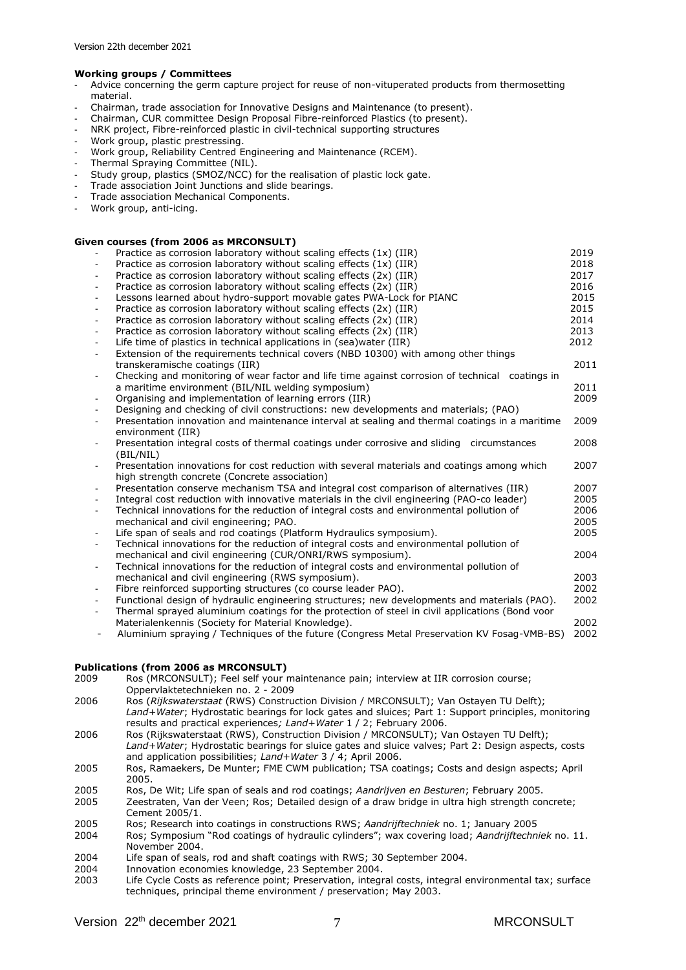# **Working groups / Committees**

- Advice concerning the germ capture project for reuse of non-vituperated products from thermosetting material.
- Chairman, trade association for Innovative Designs and Maintenance (to present).
- Chairman, CUR committee Design Proposal Fibre-reinforced Plastics (to present).
- NRK project, Fibre-reinforced plastic in civil-technical supporting structures
- Work group, plastic prestressing.
- Work group, Reliability Centred Engineering and Maintenance (RCEM).
- Thermal Spraying Committee (NIL).
- Study group, plastics (SMOZ/NCC) for the realisation of plastic lock gate.
- Trade association Joint Junctions and slide bearings.
- Trade association Mechanical Components.
- Work group, anti-icing.

#### **Given courses (from 2006 as MRCONSULT)**

|                          | Practice as corrosion laboratory without scaling effects $(1x)$ (IIR)                           | 2019 |
|--------------------------|-------------------------------------------------------------------------------------------------|------|
|                          | Practice as corrosion laboratory without scaling effects (1x) (IIR)                             | 2018 |
|                          | Practice as corrosion laboratory without scaling effects (2x) (IIR)                             | 2017 |
| $\blacksquare$           | Practice as corrosion laboratory without scaling effects (2x) (IIR)                             | 2016 |
| $\blacksquare$           | Lessons learned about hydro-support movable gates PWA-Lock for PIANC                            | 2015 |
| $\overline{\phantom{a}}$ | Practice as corrosion laboratory without scaling effects (2x) (IIR)                             | 2015 |
| $\blacksquare$           | Practice as corrosion laboratory without scaling effects (2x) (IIR)                             | 2014 |
| $\blacksquare$           | Practice as corrosion laboratory without scaling effects (2x) (IIR)                             | 2013 |
| $\blacksquare$           | Life time of plastics in technical applications in (sea)water (IIR)                             | 2012 |
| $\overline{\phantom{a}}$ | Extension of the requirements technical covers (NBD 10300) with among other things              |      |
|                          | transkeramische coatings (IIR)                                                                  | 2011 |
| $\blacksquare$           | Checking and monitoring of wear factor and life time against corrosion of technical coatings in |      |
|                          | a maritime environment (BIL/NIL welding symposium)                                              | 2011 |
| $\blacksquare$           | Organising and implementation of learning errors (IIR)                                          | 2009 |
| $\blacksquare$           | Designing and checking of civil constructions: new developments and materials; (PAO)            |      |
| $\blacksquare$           | Presentation innovation and maintenance interval at sealing and thermal coatings in a maritime  | 2009 |
|                          | environment (IIR)                                                                               |      |
| $\blacksquare$           | Presentation integral costs of thermal coatings under corrosive and sliding circumstances       | 2008 |
|                          | (BIL/NIL)                                                                                       |      |
| $\blacksquare$           | Presentation innovations for cost reduction with several materials and coatings among which     | 2007 |
|                          | high strength concrete (Concrete association)                                                   |      |
|                          | Presentation conserve mechanism TSA and integral cost comparison of alternatives (IIR)          | 2007 |
| $\overline{\phantom{a}}$ | Integral cost reduction with innovative materials in the civil engineering (PAO-co leader)      | 2005 |
| $\blacksquare$           | Technical innovations for the reduction of integral costs and environmental pollution of        | 2006 |
|                          | mechanical and civil engineering; PAO.                                                          | 2005 |
| $\blacksquare$           | Life span of seals and rod coatings (Platform Hydraulics symposium).                            | 2005 |
| $\overline{\phantom{a}}$ | Technical innovations for the reduction of integral costs and environmental pollution of        |      |
|                          | mechanical and civil engineering (CUR/ONRI/RWS symposium).                                      | 2004 |
| $\blacksquare$           | Technical innovations for the reduction of integral costs and environmental pollution of        |      |
|                          | mechanical and civil engineering (RWS symposium).                                               | 2003 |
| $\blacksquare$           | Fibre reinforced supporting structures (co course leader PAO).                                  | 2002 |
| $\blacksquare$           | Functional design of hydraulic engineering structures; new developments and materials (PAO).    | 2002 |
| $\blacksquare$           | Thermal sprayed aluminium coatings for the protection of steel in civil applications (Bond voor |      |
|                          | Materialenkennis (Society for Material Knowledge).                                              | 2002 |
| $\overline{\phantom{a}}$ | Aluminium spraying / Techniques of the future (Congress Metal Preservation KV Fosag-VMB-BS)     | 2002 |
|                          |                                                                                                 |      |

#### **Publications (from 2006 as MRCONSULT)**

- 2009 Ros (MRCONSULT); Feel self your maintenance pain; interview at IIR corrosion course; Oppervlaktetechnieken no. 2 - 2009 2006 Ros (*Rijkswaterstaat* (RWS) Construction Division / MRCONSULT); Van Ostayen TU Delft); *Land+Water*; Hydrostatic bearings for lock gates and sluices; Part 1: Support principles, monitoring results and practical experiences*; Land+Water* 1 / 2; February 2006. 2006 Ros (Rijkswaterstaat (RWS), Construction Division / MRCONSULT); Van Ostayen TU Delft); *Land+Water*; Hydrostatic bearings for sluice gates and sluice valves; Part 2: Design aspects, costs and application possibilities; *Land+Water* 3 / 4; April 2006. 2005 Ros, Ramaekers, De Munter; FME CWM publication; TSA coatings; Costs and design aspects; April 2005. 2005 Ros, De Wit; Life span of seals and rod coatings; *Aandrijven en Besturen*; February 2005. Zeestraten, Van der Veen; Ros; Detailed design of a draw bridge in ultra high strength concrete; Cement 2005/1. 2005 Ros; Research into coatings in constructions RWS; *Aandrijftechniek* no. 1; January 2005 2004 Ros; Symposium "Rod coatings of hydraulic cylinders"; wax covering load; *Aandrijftechniek* no. 11. November 2004. 2004 Life span of seals, rod and shaft coatings with RWS; 30 September 2004.
- 2004 Innovation economies knowledge, 23 September 2004.
- 2003 Life Cycle Costs as reference point; Preservation, integral costs, integral environmental tax; surface techniques, principal theme environment / preservation; May 2003.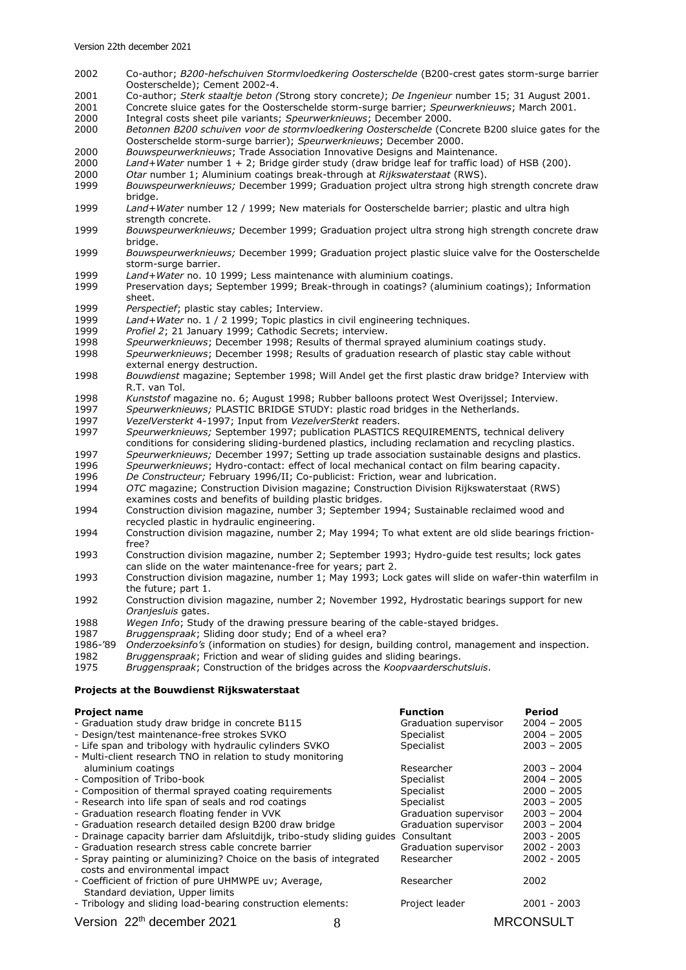- 2002 Co-author; *B200-hefschuiven Stormvloedkering Oosterschelde* (B200-crest gates storm-surge barrier Oosterschelde); Cement 2002-4.
- 2001 Co-author; *Sterk staaltje beton (*Strong story concrete*)*; *De Ingenieur* number 15; 31 August 2001.
- 2001 Concrete sluice gates for the Oosterschelde storm-surge barrier; *Speurwerknieuws*; March 2001.
- 2000 Integral costs sheet pile variants; *Speurwerknieuws*; December 2000.
- 2000 *Betonnen B200 schuiven voor de stormvloedkering Oosterschelde* (Concrete B200 sluice gates for the Oosterschelde storm-surge barrier); *Speurwerknieuws*; December 2000.
- 2000 *Bouwspeurwerknieuws*; Trade Association Innovative Designs and Maintenance.
- 2000 *Land+Water* number 1 + 2; Bridge girder study (draw bridge leaf for traffic load) of HSB (200).<br>2000 *Otar* number 1: Aluminium coatings break-through at *Rijkswaterstaat* (RWS).
- 2000 *Otar* number 1; Aluminium coatings break-through at *Rijkswaterstaat* (RWS).
- 1999 *Bouwspeurwerknieuws;* December 1999; Graduation project ultra strong high strength concrete draw bridge.
- 1999 *Land+Water* number 12 / 1999; New materials for Oosterschelde barrier; plastic and ultra high strength concrete.
- 1999 *Bouwspeurwerknieuws;* December 1999; Graduation project ultra strong high strength concrete draw bridge.
- 1999 *Bouwspeurwerknieuws;* December 1999; Graduation project plastic sluice valve for the Oosterschelde storm-surge barrier.
- 1999 *Land+Water* no. 10 1999; Less maintenance with aluminium coatings.
- 1999 Preservation days; September 1999; Break-through in coatings? (aluminium coatings); Information sheet.
- 1999 *Perspectief*; plastic stay cables; Interview.<br>1999 *Land+Water* no. 1 / 2 1999; Topic plastics
- 1999 *Land+Water* no. 1 / 2 1999; Topic plastics in civil engineering techniques.<br>1999 *Profiel 2*; 21 January 1999; Cathodic Secrets; interview.
- 1999 *Profiel 2*; 21 January 1999; Cathodic Secrets; interview.
- 1998 *Speurwerknieuws*; December 1998; Results of thermal sprayed aluminium coatings study.
- 1998 *Speurwerknieuws*; December 1998; Results of graduation research of plastic stay cable without external energy destruction.
- 1998 *Bouwdienst* magazine; September 1998; Will Andel get the first plastic draw bridge? Interview with R.T. van Tol.
- 1998 *Kunststof* magazine no. 6; August 1998; Rubber balloons protect West Overijssel; Interview.
- 1997 *Speurwerknieuws;* PLASTIC BRIDGE STUDY: plastic road bridges in the Netherlands.<br>1997 VezelVersterkt 4-1997; Input from VezelverSterkt readers.
- 1997 *VezelVersterkt* 4-1997; Input from *VezelverSterkt* readers.
- 1997 *Speurwerknieuws;* September 1997; publication PLASTICS REQUIREMENTS, technical delivery conditions for considering sliding-burdened plastics, including reclamation and recycling plastics.
- 1997 *Speurwerknieuws;* December 1997; Setting up trade association sustainable designs and plastics.
- 1996 *Speurwerknieuws*; Hydro-contact: effect of local mechanical contact on film bearing capacity.
- 1996 *De Constructeur;* February 1996/II; Co-publicist: Friction, wear and lubrication.
- 1994 *OTC* magazine; Construction Division magazine; Construction Division Rijkswaterstaat (RWS) examines costs and benefits of building plastic bridges.
- 1994 Construction division magazine, number 3; September 1994; Sustainable reclaimed wood and recycled plastic in hydraulic engineering.
- 1994 Construction division magazine, number 2; May 1994; To what extent are old slide bearings frictionfree?
- 1993 Construction division magazine, number 2; September 1993; Hydro-guide test results; lock gates can slide on the water maintenance-free for years; part 2.
- 1993 Construction division magazine, number 1; May 1993; Lock gates will slide on wafer-thin waterfilm in the future; part 1.
- 1992 Construction division magazine, number 2; November 1992, Hydrostatic bearings support for new *Oranjesluis* gates.
- 1988 *Wegen Info*; Study of the drawing pressure bearing of the cable-stayed bridges.<br>1987 *Bruggenspraak*; Sliding door study; End of a wheel era?
- 1987 *Bruggenspraak*; Sliding door study; End of a wheel era?
- 1986-'89 *Onderzoeksinfo's* (information on studies) for design, building control, management and inspection. 1982 *Bruggenspraak*; Friction and wear of sliding guides and sliding bearings.
- 1975 *Bruggenspraak*; Construction of the bridges across the *Koopvaarderschutsluis*.

#### **Projects at the Bouwdienst Rijkswaterstaat**

# **Project name Function Period**

| - Graduation study draw bridge in concrete B115                                    |   | Graduation supervisor | $2004 - 2005$    |
|------------------------------------------------------------------------------------|---|-----------------------|------------------|
| - Design/test maintenance-free strokes SVKO                                        |   | Specialist            | $2004 - 2005$    |
| - Life span and tribology with hydraulic cylinders SVKO                            |   | Specialist            | $2003 - 2005$    |
| - Multi-client research TNO in relation to study monitoring                        |   |                       |                  |
| aluminium coatings                                                                 |   | Researcher            | $2003 - 2004$    |
| - Composition of Tribo-book                                                        |   | Specialist            | $2004 - 2005$    |
| - Composition of thermal sprayed coating requirements                              |   | Specialist            | $2000 - 2005$    |
| - Research into life span of seals and rod coatings                                |   | Specialist            | $2003 - 2005$    |
| - Graduation research floating fender in VVK                                       |   | Graduation supervisor | $2003 - 2004$    |
| - Graduation research detailed design B200 draw bridge                             |   | Graduation supervisor | $2003 - 2004$    |
| - Drainage capacity barrier dam Afsluitdijk, tribo-study sliding quides Consultant |   |                       | $2003 - 2005$    |
| - Graduation research stress cable concrete barrier                                |   | Graduation supervisor | $2002 - 2003$    |
| - Spray painting or aluminizing? Choice on the basis of integrated                 |   | Researcher            | $2002 - 2005$    |
| costs and environmental impact                                                     |   |                       |                  |
| - Coefficient of friction of pure UHMWPE uv; Average,                              |   | Researcher            | 2002             |
| Standard deviation, Upper limits                                                   |   |                       |                  |
| - Tribology and sliding load-bearing construction elements:                        |   | Project leader        | 2001 - 2003      |
| Version 22 <sup>th</sup> december 2021                                             | 8 |                       | <b>MRCONSULT</b> |
|                                                                                    |   |                       |                  |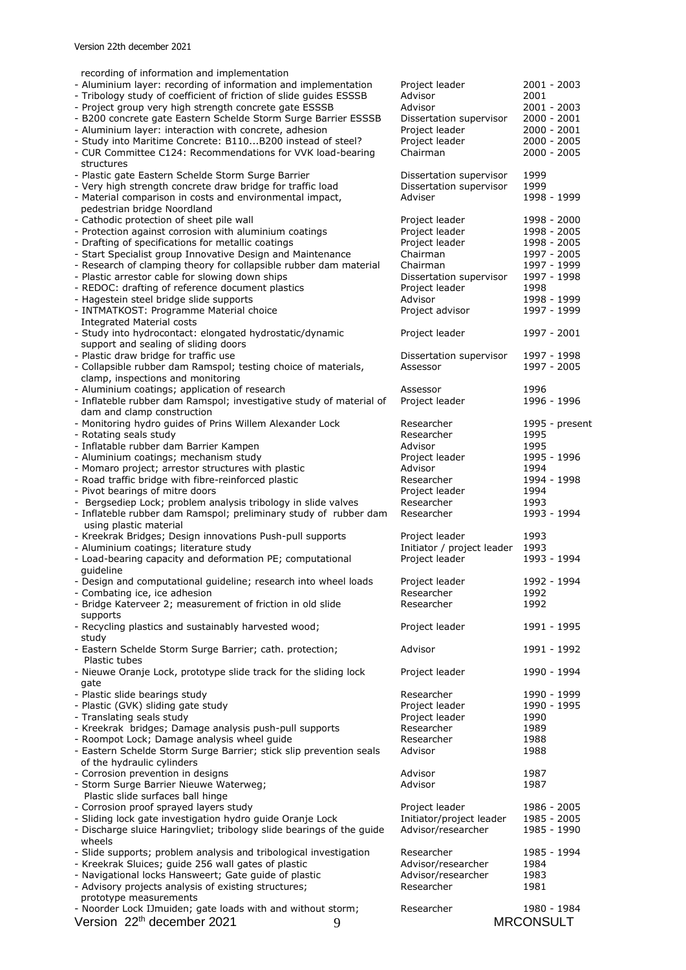| recording of information and implementation                           |                            |                  |
|-----------------------------------------------------------------------|----------------------------|------------------|
| - Aluminium layer: recording of information and implementation        | Project leader             | 2001 - 2003      |
| - Tribology study of coefficient of friction of slide guides ESSSB    | Advisor                    | 2001             |
| - Project group very high strength concrete gate ESSSB                | Advisor                    | 2001 - 2003      |
| - B200 concrete gate Eastern Schelde Storm Surge Barrier ESSSB        | Dissertation supervisor    | $2000 - 2001$    |
| - Aluminium layer: interaction with concrete, adhesion                | Project leader             | $2000 - 2001$    |
| - Study into Maritime Concrete: B110B200 instead of steel?            | Project leader             | $2000 - 2005$    |
| - CUR Committee C124: Recommendations for VVK load-bearing            | Chairman                   | 2000 - 2005      |
| structures                                                            |                            |                  |
| - Plastic gate Eastern Schelde Storm Surge Barrier                    | Dissertation supervisor    | 1999             |
| - Very high strength concrete draw bridge for traffic load            | Dissertation supervisor    | 1999             |
| - Material comparison in costs and environmental impact,              | Adviser                    | 1998 - 1999      |
| pedestrian bridge Noordland                                           |                            |                  |
| - Cathodic protection of sheet pile wall                              | Project leader             | 1998 - 2000      |
| - Protection against corrosion with aluminium coatings                | Project leader             | 1998 - 2005      |
| - Drafting of specifications for metallic coatings                    | Project leader             | 1998 - 2005      |
| - Start Specialist group Innovative Design and Maintenance            | Chairman                   | 1997 - 2005      |
| - Research of clamping theory for collapsible rubber dam material     | Chairman                   | 1997 - 1999      |
| - Plastic arrestor cable for slowing down ships                       | Dissertation supervisor    | 1997 - 1998      |
| - REDOC: drafting of reference document plastics                      | Project leader             | 1998             |
| - Hagestein steel bridge slide supports                               | Advisor                    | 1998 - 1999      |
| - INTMATKOST: Programme Material choice                               | Project advisor            | 1997 - 1999      |
| <b>Integrated Material costs</b>                                      |                            |                  |
| - Study into hydrocontact: elongated hydrostatic/dynamic              | Project leader             | 1997 - 2001      |
| support and sealing of sliding doors                                  |                            |                  |
| - Plastic draw bridge for traffic use                                 | Dissertation supervisor    | 1997 - 1998      |
| - Collapsible rubber dam Ramspol; testing choice of materials,        | Assessor                   | 1997 - 2005      |
| clamp, inspections and monitoring                                     |                            |                  |
| - Aluminium coatings; application of research                         | Assessor                   | 1996             |
| - Inflateble rubber dam Ramspol; investigative study of material of   | Project leader             | 1996 - 1996      |
| dam and clamp construction                                            |                            |                  |
| - Monitoring hydro guides of Prins Willem Alexander Lock              | Researcher                 | 1995 - present   |
| - Rotating seals study                                                | Researcher                 | 1995             |
|                                                                       | Advisor                    | 1995             |
| - Inflatable rubber dam Barrier Kampen                                |                            |                  |
| - Aluminium coatings; mechanism study                                 | Project leader             | 1995 - 1996      |
| - Momaro project; arrestor structures with plastic                    | Advisor                    | 1994             |
| - Road traffic bridge with fibre-reinforced plastic                   | Researcher                 | 1994 - 1998      |
| - Pivot bearings of mitre doors                                       | Project leader             | 1994             |
| - Bergsediep Lock; problem analysis tribology in slide valves         | Researcher                 | 1993             |
| - Inflateble rubber dam Ramspol; preliminary study of rubber dam      | Researcher                 | 1993 - 1994      |
| using plastic material                                                |                            |                  |
| - Kreekrak Bridges; Design innovations Push-pull supports             | Project leader             | 1993             |
| - Aluminium coatings; literature study                                | Initiator / project leader | 1993             |
| - Load-bearing capacity and deformation PE; computational             | Project leader             | 1993 - 1994      |
| quideline                                                             |                            |                  |
| - Design and computational guideline; research into wheel loads       | Project leader             | 1992 - 1994      |
| - Combating ice, ice adhesion                                         | Researcher                 | 1992             |
| - Bridge Katerveer 2; measurement of friction in old slide            | Researcher                 | 1992             |
| supports                                                              |                            |                  |
| - Recycling plastics and sustainably harvested wood;                  | Project leader             | 1991 - 1995      |
| study                                                                 |                            |                  |
| - Eastern Schelde Storm Surge Barrier; cath. protection;              | Advisor                    | 1991 - 1992      |
| Plastic tubes                                                         |                            |                  |
| - Nieuwe Oranje Lock, prototype slide track for the sliding lock      | Project leader             | 1990 - 1994      |
| gate                                                                  |                            |                  |
| - Plastic slide bearings study                                        | Researcher                 | 1990 - 1999      |
| - Plastic (GVK) sliding gate study                                    |                            | 1990 - 1995      |
|                                                                       | Project leader             |                  |
| - Translating seals study                                             | Project leader             | 1990             |
| - Kreekrak bridges; Damage analysis push-pull supports                | Researcher                 | 1989             |
| - Roompot Lock; Damage analysis wheel guide                           | Researcher                 | 1988             |
| - Eastern Schelde Storm Surge Barrier; stick slip prevention seals    | Advisor                    | 1988             |
| of the hydraulic cylinders                                            |                            |                  |
| - Corrosion prevention in designs                                     | Advisor                    | 1987             |
| - Storm Surge Barrier Nieuwe Waterweg;                                | Advisor                    | 1987             |
| Plastic slide surfaces ball hinge                                     |                            |                  |
| - Corrosion proof sprayed layers study                                | Project leader             | 1986 - 2005      |
| - Sliding lock gate investigation hydro guide Oranje Lock             | Initiator/project leader   | 1985 - 2005      |
| - Discharge sluice Haringvliet; tribology slide bearings of the guide | Advisor/researcher         | 1985 - 1990      |
| wheels                                                                |                            |                  |
| - Slide supports; problem analysis and tribological investigation     | Researcher                 | 1985 - 1994      |
| - Kreekrak Sluices; guide 256 wall gates of plastic                   | Advisor/researcher         | 1984             |
| - Navigational locks Hansweert; Gate guide of plastic                 | Advisor/researcher         | 1983             |
| - Advisory projects analysis of existing structures;                  | Researcher                 | 1981             |
| prototype measurements                                                |                            |                  |
| - Noorder Lock IJmuiden; gate loads with and without storm;           | Researcher                 | 1980 - 1984      |
| Version 22 <sup>th</sup> december 2021                                |                            | <b>MRCONSULT</b> |
| 9                                                                     |                            |                  |